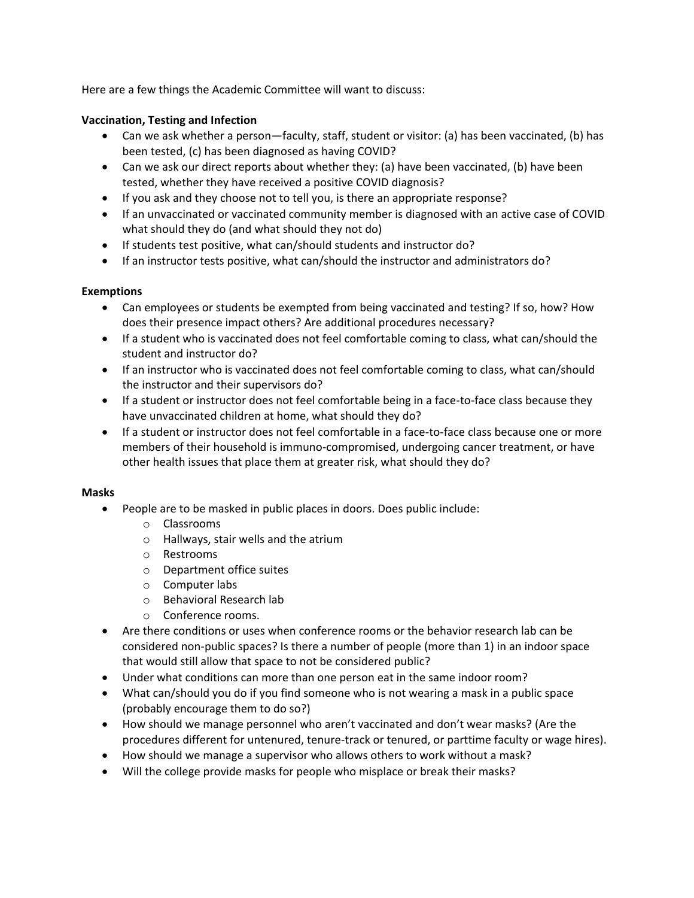Here are a few things the Academic Committee will want to discuss:

# **Vaccination, Testing and Infection**

- Can we ask whether a person—faculty, staff, student or visitor: (a) has been vaccinated, (b) has been tested, (c) has been diagnosed as having COVID?
- Can we ask our direct reports about whether they: (a) have been vaccinated, (b) have been tested, whether they have received a positive COVID diagnosis?
- If you ask and they choose not to tell you, is there an appropriate response?
- If an unvaccinated or vaccinated community member is diagnosed with an active case of COVID what should they do (and what should they not do)
- If students test positive, what can/should students and instructor do?
- If an instructor tests positive, what can/should the instructor and administrators do?

## **Exemptions**

- Can employees or students be exempted from being vaccinated and testing? If so, how? How does their presence impact others? Are additional procedures necessary?
- If a student who is vaccinated does not feel comfortable coming to class, what can/should the student and instructor do?
- If an instructor who is vaccinated does not feel comfortable coming to class, what can/should the instructor and their supervisors do?
- If a student or instructor does not feel comfortable being in a face-to-face class because they have unvaccinated children at home, what should they do?
- If a student or instructor does not feel comfortable in a face-to-face class because one or more members of their household is immuno-compromised, undergoing cancer treatment, or have other health issues that place them at greater risk, what should they do?

## **Masks**

- People are to be masked in public places in doors. Does public include:
	- o Classrooms
	- o Hallways, stair wells and the atrium
	- o Restrooms
	- o Department office suites
	- o Computer labs
	- o Behavioral Research lab
	- o Conference rooms.
- Are there conditions or uses when conference rooms or the behavior research lab can be considered non-public spaces? Is there a number of people (more than 1) in an indoor space that would still allow that space to not be considered public?
- Under what conditions can more than one person eat in the same indoor room?
- What can/should you do if you find someone who is not wearing a mask in a public space (probably encourage them to do so?)
- How should we manage personnel who aren't vaccinated and don't wear masks? (Are the procedures different for untenured, tenure-track or tenured, or parttime faculty or wage hires).
- How should we manage a supervisor who allows others to work without a mask?
- Will the college provide masks for people who misplace or break their masks?